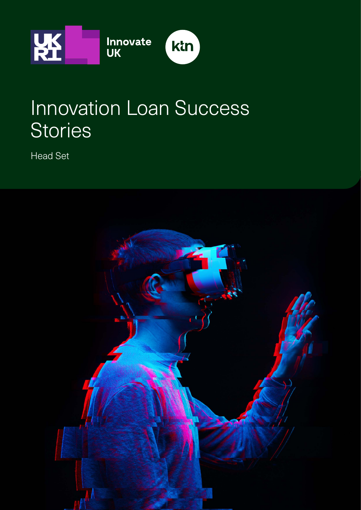

# Innovation Loan Success **Stories**

Head Set

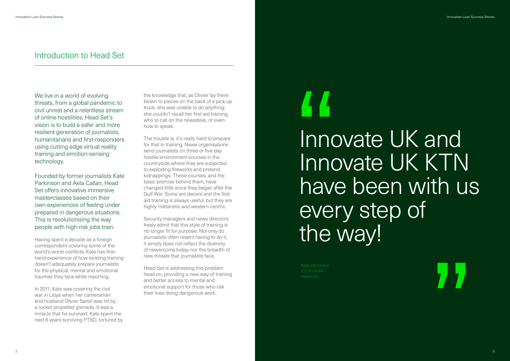We live in a world of evolving threats, from a global pandemic to civil unrest and a relentless stream of online hostilities. Head Set's vision is to build a safer and more resilient generation of journalists, humanitarians and first-responders using cutting edge virtual reality training and emotion-sensing technology.

Founded by former journalists Kate Parkinson and Aela Callan, Head Set offers innovative immersive masterclasses based on their own experiences of feeling under prepared in dangerous situations. This is revolutionising the way people with high-risk jobs train.

Having spent a decade as a foreign correspondent covering some of the world's worst conflicts, Kate has firsthand experience of how existing training doesn't adequately prepare journalists for the physical, mental and emotional traumas they face while reporting.

The trouble is, it's really hard to prepare for that in training. News organisations send journalists on three or five day hostile environment courses in the countryside where they are subjected to exploding fireworks and pretend kidnappings. These courses, and the basic premise behind them, have changed little since they began after the Gulf War. Some are decent and the first aid training is always useful, but they are highly militaristic and western centric.

In 2011, Kate was covering the civil war in Libya when her cameraman and husband Olivier Sarbil was hit by a rocket propelled grenade. It was a miracle that he survived. Kate spent the next 6 years surviving PTSD, tortured by the knowledge that, as Olivier lay there blown to pieces on the back of a pick-up truck, she was unable to do anything; she couldn't recall her first aid training, who to call on the newsdesk, or even how to speak.

Security managers and news directors freely admit that this style of training is no longer fit for purpose. Not only do journalists often resent having to do it, it simply does not reflect the diversity of newsrooms today, nor the breadth of new threats that journalists face.

Head Set is addressing this problem head on, providing a new way of training and better access to mental and emotional support for those who risk their lives doing dangerous work.

### Introduction to Head Set

# Innovate UK and Innovate UK KTN have been with us every step of the way!

Co-Founder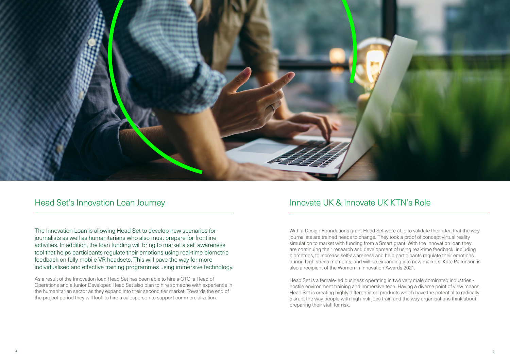

#### Head Set's Innovation Loan Journey

The Innovation Loan is allowing Head Set to develop new scenarios for journalists as well as humanitarians who also must prepare for frontline activities. In addition, the loan funding will bring to market a self awareness tool that helps participants regulate their emotions using real-time biometric feedback on fully mobile VR headsets. This will pave the way for more individualised and effective training programmes using immersive technology.

As a result of the Innovation loan Head Set has been able to hire a CTO, a Head of Operations and a Junior Developer. Head Set also plan to hire someone with experience in the humanitarian sector as they expand into their second tier market. Towards the end of the project period they will look to hire a salesperson to support commercialization.

With a Design Foundations grant Head Set were able to validate their idea that the way journalists are trained needs to change. They took a proof of concept virtual reality simulation to market with funding from a Smart grant. With the Innovation loan they are continuing their research and development of using real-time feedback, including biometrics, to increase self-awareness and help participants regulate their emotions during high stress moments, and will be expanding into new markets. Kate Parkinson is also a recipient of the Women in Innovation Awards 2021.

Head Set is a female-led business operating in two very male dominated industries hostile environment training and immersive tech. Having a diverse point of view means Head Set is creating highly differentiated products which have the potential to radically disrupt the way people with high-risk jobs train and the way organisations think about preparing their staff for risk.

## Innovate UK & Innovate UK KTN's Role